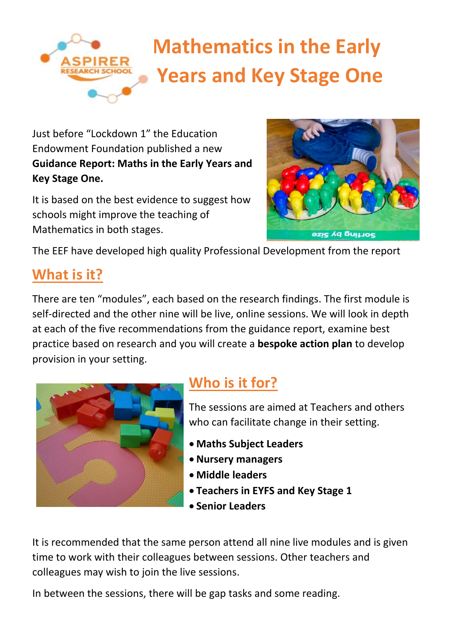## **Mathematics in the Early Years and Key Stage One**

Just before "Lockdown 1" the Education Endowment Foundation published a new **Guidance Report: Maths in the Early Years and Key Stage One.**

It is based on the best evidence to suggest how schools might improve the teaching of Mathematics in both stages.



The EEF have developed high quality Professional Development from the report

## **What is it?**

There are ten "modules", each based on the research findings. The first module is self-directed and the other nine will be live, online sessions. We will look in depth at each of the five recommendations from the guidance report, examine best practice based on research and you will create a **bespoke action plan** to develop provision in your setting.



## **Who is it for?**

The sessions are aimed at Teachers and others who can facilitate change in their setting.

- **Maths Subject Leaders**
- **Nursery managers**
- **Middle leaders**
- **Teachers in EYFS and Key Stage 1**
- **Senior Leaders**

It is recommended that the same person attend all nine live modules and is given time to work with their colleagues between sessions. Other teachers and colleagues may wish to join the live sessions.

In between the sessions, there will be gap tasks and some reading.